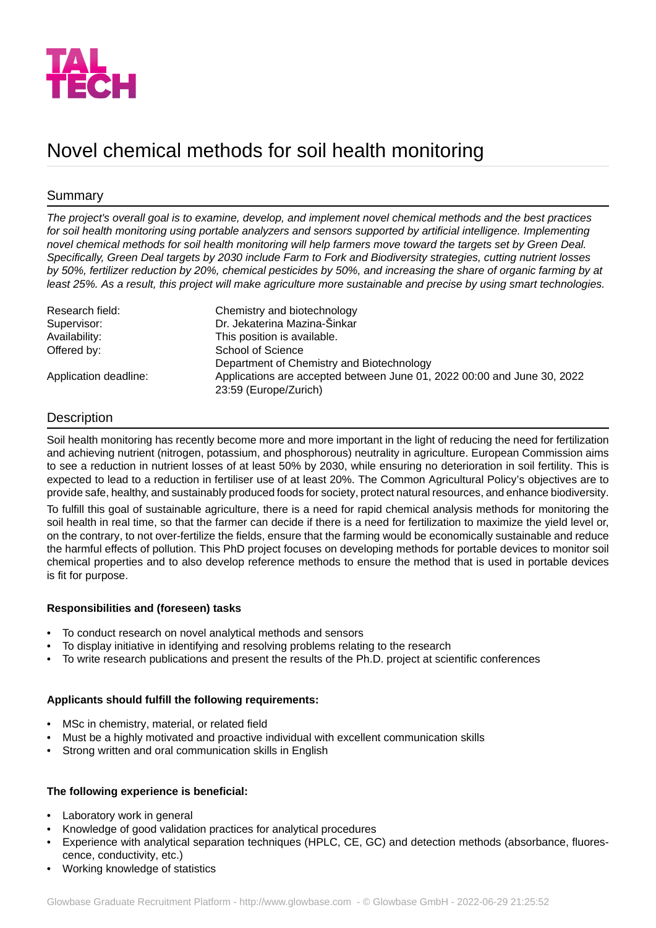

# Novel chemical methods for soil health monitoring

# Summary

*The project's overall goal is to examine, develop, and implement novel chemical methods and the best practices for soil health monitoring using portable analyzers and sensors supported by artificial intelligence. Implementing novel chemical methods for soil health monitoring will help farmers move toward the targets set by Green Deal.* Specifically, Green Deal targets by 2030 include Farm to Fork and Biodiversity strategies, cutting nutrient losses *by 50%, fertilizer reduction by 20%, chemical pesticides by 50%, and increasing the share of organic farming by at least 25%. As a result, this project will make agriculture more sustainable and precise by using smart technologies.*

| Research field:       | Chemistry and biotechnology                                                                      |
|-----------------------|--------------------------------------------------------------------------------------------------|
| Supervisor:           | Dr. Jekaterina Mazina-Šinkar                                                                     |
| Availability:         | This position is available.                                                                      |
| Offered by:           | School of Science                                                                                |
|                       | Department of Chemistry and Biotechnology                                                        |
| Application deadline: | Applications are accepted between June 01, 2022 00:00 and June 30, 2022<br>23:59 (Europe/Zurich) |

# **Description**

Soil health monitoring has recently become more and more important in the light of reducing the need for fertilization and achieving nutrient (nitrogen, potassium, and phosphorous) neutrality in agriculture. European Commission aims to see a reduction in nutrient losses of at least 50% by 2030, while ensuring no deterioration in soil fertility. This is expected to lead to a reduction in fertiliser use of at least 20%. The Common Agricultural Policy's objectives are to provide safe, healthy, and sustainably produced foods for society, protect natural resources, and enhance biodiversity.

To fulfill this goal of sustainable agriculture, there is a need for rapid chemical analysis methods for monitoring the soil health in real time, so that the farmer can decide if there is a need for fertilization to maximize the yield level or, on the contrary, to not over-fertilize the fields, ensure that the farming would be economically sustainable and reduce the harmful effects of pollution. This PhD project focuses on developing methods for portable devices to monitor soil chemical properties and to also develop reference methods to ensure the method that is used in portable devices is fit for purpose.

## **Responsibilities and (foreseen) tasks**

- To conduct research on novel analytical methods and sensors
- To display initiative in identifying and resolving problems relating to the research
- To write research publications and present the results of the Ph.D. project at scientific conferences

## **Applicants should fulfill the following requirements:**

- MSc in chemistry, material, or related field
- Must be a highly motivated and proactive individual with excellent communication skills
- Strong written and oral communication skills in English

## **The following experience is beneficial:**

- Laboratory work in general
- Knowledge of good validation practices for analytical procedures
- Experience with analytical separation techniques (HPLC, CE, GC) and detection methods (absorbance, fluorescence, conductivity, etc.)
- Working knowledge of statistics